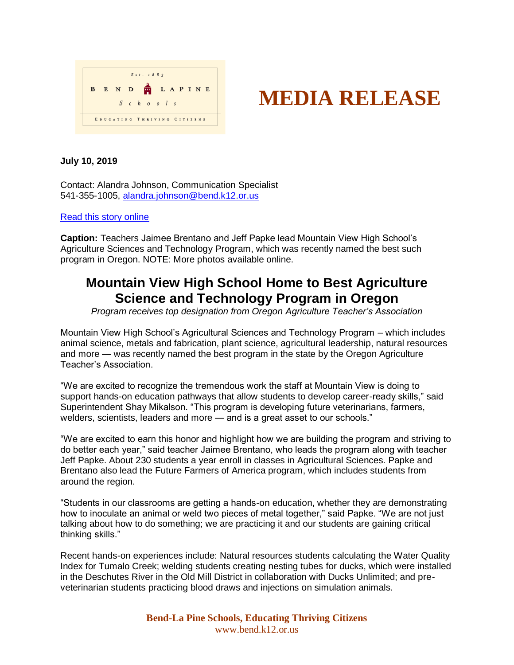



## **July 10, 2019**

Contact: Alandra Johnson, Communication Specialist 541-355-1005, [alandra.johnson@bend.k12.or.us](mailto:alandra.johnson@bend.k12.or.us)

## [Read this story online](https://www.bend.k12.or.us/district/news-events/news/2019/07/mountain-view-home-best-ag-program-state)

**Caption:** Teachers Jaimee Brentano and Jeff Papke lead Mountain View High School's Agriculture Sciences and Technology Program, which was recently named the best such program in Oregon. NOTE: More photos available online.

## **Mountain View High School Home to Best Agriculture Science and Technology Program in Oregon**

*Program receives top designation from Oregon Agriculture Teacher's Association*

Mountain View High School's Agricultural Sciences and Technology Program – which includes animal science, metals and fabrication, plant science, agricultural leadership, natural resources and more — was recently named the best program in the state by the Oregon Agriculture Teacher's Association.

"We are excited to recognize the tremendous work the staff at Mountain View is doing to support hands-on education pathways that allow students to develop career-ready skills," said Superintendent Shay Mikalson. "This program is developing future veterinarians, farmers, welders, scientists, leaders and more — and is a great asset to our schools."

"We are excited to earn this honor and highlight how we are building the program and striving to do better each year," said teacher Jaimee Brentano, who leads the program along with teacher Jeff Papke. About 230 students a year enroll in classes in Agricultural Sciences. Papke and Brentano also lead the Future Farmers of America program, which includes students from around the region.

"Students in our classrooms are getting a hands-on education, whether they are demonstrating how to inoculate an animal or weld two pieces of metal together," said Papke. "We are not just talking about how to do something; we are practicing it and our students are gaining critical thinking skills."

Recent hands-on experiences include: Natural resources students calculating the Water Quality Index for Tumalo Creek; welding students creating nesting tubes for ducks, which were installed in the Deschutes River in the Old Mill District in collaboration with Ducks Unlimited; and preveterinarian students practicing blood draws and injections on simulation animals.

> **Bend-La Pine Schools, Educating Thriving Citizens** www.bend.k12.or.us